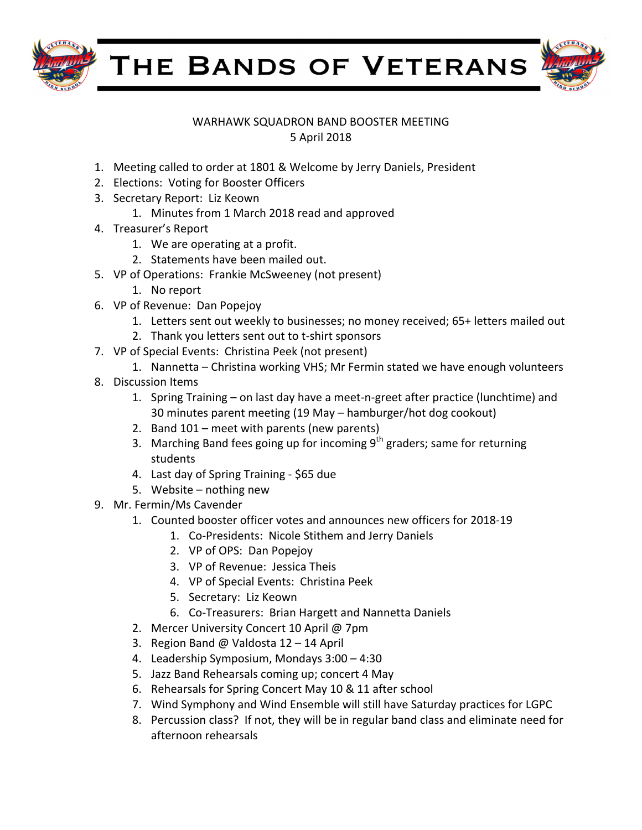

THE BANDS OF VETERANS



## WARHAWK SQUADRON BAND BOOSTER MEETING 5 April 2018

- 1. Meeting called to order at 1801 & Welcome by Jerry Daniels, President
- 2. Elections: Voting for Booster Officers
- 3. Secretary Report: Liz Keown
	- 1. Minutes from 1 March 2018 read and approved
- 4. Treasurer's Report
	- 1. We are operating at a profit.
	- 2. Statements have been mailed out.
- 5. VP of Operations: Frankie McSweeney (not present)
	- 1. No report
- 6. VP of Revenue: Dan Popejoy
	- 1. Letters sent out weekly to businesses; no money received; 65+ letters mailed out
	- 2. Thank you letters sent out to t-shirt sponsors
- 7. VP of Special Events: Christina Peek (not present)
	- 1. Nannetta Christina working VHS; Mr Fermin stated we have enough volunteers
- 8. Discussion Items
	- 1. Spring Training on last day have a meet-n-greet after practice (lunchtime) and 30 minutes parent meeting (19 May – hamburger/hot dog cookout)
	- 2. Band  $101$  meet with parents (new parents)
	- 3. Marching Band fees going up for incoming  $9^{th}$  graders; same for returning students
	- 4. Last day of Spring Training \$65 due
	- 5. Website  $-$  nothing new
- 9. Mr. Fermin/Ms Cavender
	- 1. Counted booster officer votes and announces new officers for 2018-19
		- 1. Co-Presidents: Nicole Stithem and Jerry Daniels
		- 2. VP of OPS: Dan Popejoy
		- 3. VP of Revenue: Jessica Theis
		- 4. VP of Special Events: Christina Peek
		- 5. Secretary: Liz Keown
		- 6. Co-Treasurers: Brian Hargett and Nannetta Daniels
	- 2. Mercer University Concert 10 April @ 7pm
	- 3. Region Band @ Valdosta  $12 14$  April
	- 4. Leadership Symposium, Mondays 3:00 4:30
	- 5. Jazz Band Rehearsals coming up; concert 4 May
	- 6. Rehearsals for Spring Concert May 10 & 11 after school
	- 7. Wind Symphony and Wind Ensemble will still have Saturday practices for LGPC
	- 8. Percussion class? If not, they will be in regular band class and eliminate need for afternoon rehearsals